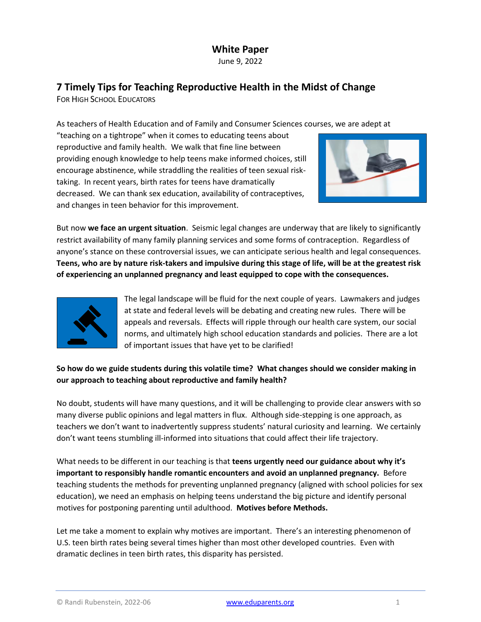# **White Paper**

June 9, 2022

## **7 Timely Tips for Teaching Reproductive Health in the Midst of Change**

FOR HIGH SCHOOL EDUCATORS

As teachers of Health Education and of Family and Consumer Sciences courses, we are adept at

"teaching on a tightrope" when it comes to educating teens about reproductive and family health. We walk that fine line between providing enough knowledge to help teens make informed choices, still encourage abstinence, while straddling the realities of teen sexual risktaking. In recent years, birth rates for teens have dramatically decreased. We can thank sex education, availability of contraceptives, and changes in teen behavior for this improvement.



But now **we face an urgent situation**. Seismic legal changes are underway that are likely to significantly restrict availability of many family planning services and some forms of contraception. Regardless of anyone's stance on these controversial issues, we can anticipate serious health and legal consequences. **Teens, who are by nature risk-takers and impulsive during this stage of life, will be at the greatest risk of experiencing an unplanned pregnancy and least equipped to cope with the consequences.**



The legal landscape will be fluid for the next couple of years. Lawmakers and judges at state and federal levels will be debating and creating new rules. There will be appeals and reversals. Effects will ripple through our health care system, our social norms, and ultimately high school education standards and policies. There are a lot of important issues that have yet to be clarified!

## **So how do we guide students during this volatile time? What changes should we consider making in our approach to teaching about reproductive and family health?**

No doubt, students will have many questions, and it will be challenging to provide clear answers with so many diverse public opinions and legal matters in flux. Although side-stepping is one approach, as teachers we don't want to inadvertently suppress students' natural curiosity and learning. We certainly don't want teens stumbling ill-informed into situations that could affect their life trajectory.

What needs to be different in our teaching is that **teens urgently need our guidance about why it's important to responsibly handle romantic encounters and avoid an unplanned pregnancy.** Before teaching students the methods for preventing unplanned pregnancy (aligned with school policies for sex education), we need an emphasis on helping teens understand the big picture and identify personal motives for postponing parenting until adulthood. **Motives before Methods.**

Let me take a moment to explain why motives are important. There's an interesting phenomenon of U.S. teen birth rates being several times higher than most other developed countries. Even with dramatic declines in teen birth rates, this disparity has persisted.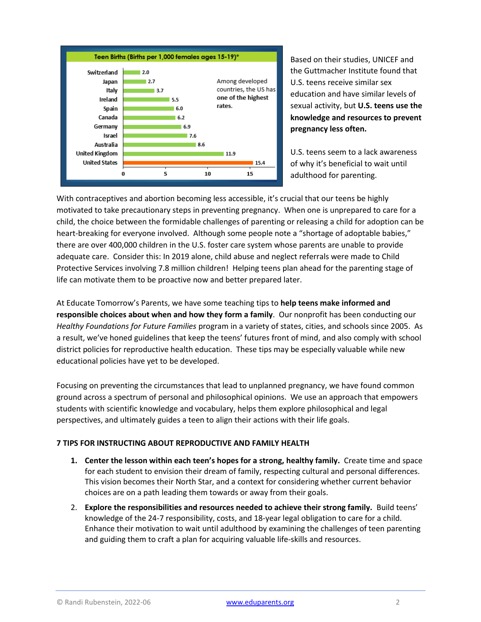

Based on their studies, UNICEF and the Guttmacher Institute found that U.S. teens receive similar sex education and have similar levels of sexual activity, but **U.S. teens use the knowledge and resources to prevent pregnancy less often.** 

U.S. teens seem to a lack awareness of why it's beneficial to wait until adulthood for parenting.

With contraceptives and abortion becoming less accessible, it's crucial that our teens be highly motivated to take precautionary steps in preventing pregnancy. When one is unprepared to care for a child, the choice between the formidable challenges of parenting or releasing a child for adoption can be heart-breaking for everyone involved. Although some people note a "shortage of adoptable babies," there are over 400,000 children in the U.S. foster care system whose parents are unable to provide adequate care. Consider this: In 2019 alone, child abuse and neglect referrals were made to Child Protective Services involving 7.8 million children! Helping teens plan ahead for the parenting stage of life can motivate them to be proactive now and better prepared later.

At Educate Tomorrow's Parents, we have some teaching tips to **help teens make informed and responsible choices about when and how they form a family**. Our nonprofit has been conducting our *Healthy Foundations for Future Families* program in a variety of states, cities, and schools since 2005. As a result, we've honed guidelines that keep the teens' futures front of mind, and also comply with school district policies for reproductive health education. These tips may be especially valuable while new educational policies have yet to be developed.

Focusing on preventing the circumstances that lead to unplanned pregnancy, we have found common ground across a spectrum of personal and philosophical opinions. We use an approach that empowers students with scientific knowledge and vocabulary, helps them explore philosophical and legal perspectives, and ultimately guides a teen to align their actions with their life goals.

### **7 TIPS FOR INSTRUCTING ABOUT REPRODUCTIVE AND FAMILY HEALTH**

- **1. Center the lesson within each teen's hopes for a strong, healthy family.** Create time and space for each student to envision their dream of family, respecting cultural and personal differences. This vision becomes their North Star, and a context for considering whether current behavior choices are on a path leading them towards or away from their goals.
- 2. **Explore the responsibilities and resources needed to achieve their strong family.** Build teens' knowledge of the 24-7 responsibility, costs, and 18-year legal obligation to care for a child. Enhance their motivation to wait until adulthood by examining the challenges of teen parenting and guiding them to craft a plan for acquiring valuable life-skills and resources.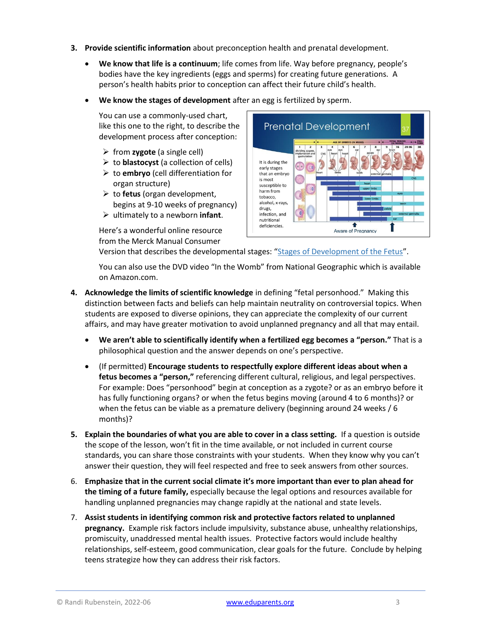- **3. Provide scientific information** about preconception health and prenatal development.
	- **We know that life is a continuum**; life comes from life. Way before pregnancy, people's bodies have the key ingredients (eggs and sperms) for creating future generations. A person's health habits prior to conception can affect their future child's health.
	- **We know the stages of development** after an egg is fertilized by sperm.

You can use a commonly-used chart, like this one to the right, to describe the development process after conception:

- ➢ from **zygote** (a single cell)
- ➢ to **blastocyst** (a collection of cells)
- ➢ to **embryo** (cell differentiation for organ structure)
- ➢ to **fetus** (organ development, begins at 9-10 weeks of pregnancy)
- ➢ ultimately to a newborn **infant**.

Here's a wonderful online resource from the Merck Manual Consumer



Version that describes the developmental stages: "[Stages of Development of the Fetus](https://www.merckmanuals.com/home/women-s-health-issues/normal-pregnancy/stages-of-development-of-the-fetus)".

You can also use the DVD video "In the Womb" from National Geographic which is available on Amazon.com.

- **4. Acknowledge the limits of scientific knowledge** in defining "fetal personhood."Making this distinction between facts and beliefs can help maintain neutrality on controversial topics. When students are exposed to diverse opinions, they can appreciate the complexity of our current affairs, and may have greater motivation to avoid unplanned pregnancy and all that may entail.
	- **We aren't able to scientifically identify when a fertilized egg becomes a "person."** That is a philosophical question and the answer depends on one's perspective.
	- (If permitted) **Encourage students to respectfully explore different ideas about when a fetus becomes a "person,"** referencing different cultural, religious, and legal perspectives. For example: Does "personhood" begin at conception as a zygote? or as an embryo before it has fully functioning organs? or when the fetus begins moving (around 4 to 6 months)? or when the fetus can be viable as a premature delivery (beginning around 24 weeks / 6 months)?
- **5. Explain the boundaries of what you are able to cover in a class setting.** If a question is outside the scope of the lesson, won't fit in the time available, or not included in current course standards, you can share those constraints with your students. When they know why you can't answer their question, they will feel respected and free to seek answers from other sources.
- 6. **Emphasize that in the current social climate it's more important than ever to plan ahead for the timing of a future family,** especially because the legal options and resources available for handling unplanned pregnancies may change rapidly at the national and state levels.
- 7. **Assist students in identifying common risk and protective factors related to unplanned pregnancy.** Example risk factors include impulsivity, substance abuse, unhealthy relationships, promiscuity, unaddressed mental health issues. Protective factors would include healthy relationships, self-esteem, good communication, clear goals for the future. Conclude by helping teens strategize how they can address their risk factors.